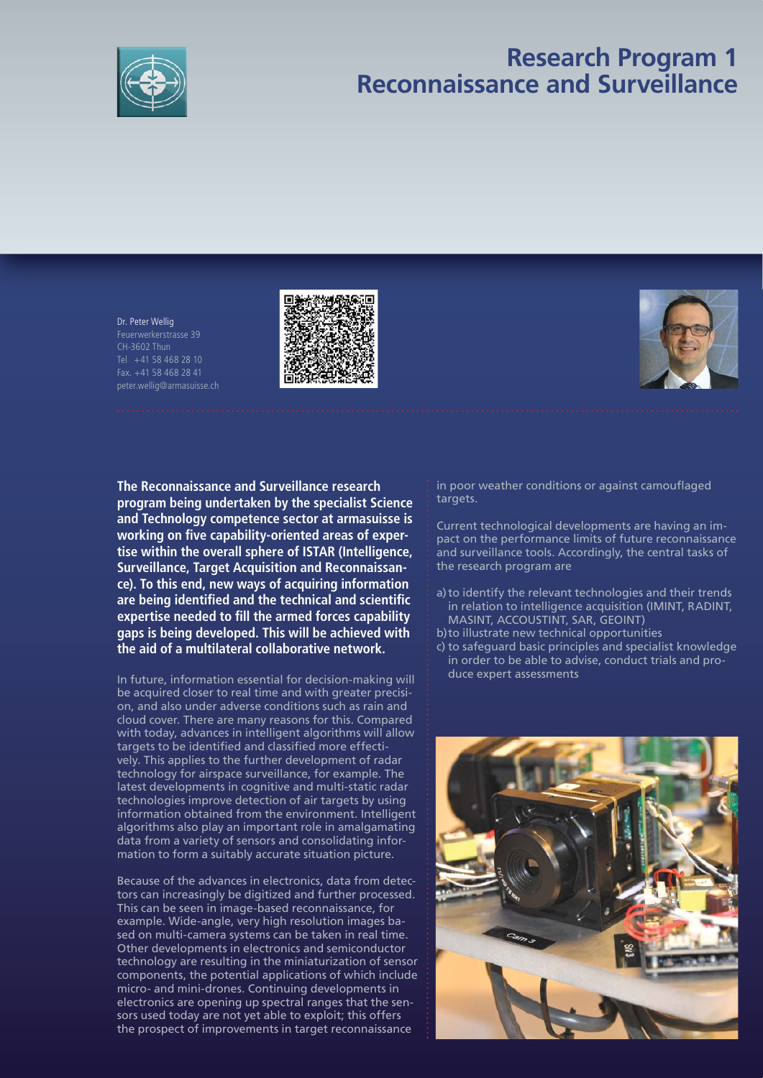

## **Research Program 1 Reconnaissance and Surveillance**

Dr. Peter Wellig Feuerwerkerstrasse 39 CH-3602 Thun Tel +41 58 468 28 10 Fax. +41 58 468 28 41 peter.wellig@armasuisse.ch





**The Reconnaissance and Surveillance research program being undertaken by the specialist Science and Technology competence sector at armasuisse is**  working on five capability-oriented areas of exper**tise within the overall sphere of ISTAR (Intelligence, Surveillance, Target Acquisition and Reconnaissance). To this end, new ways of acquiring information**  are being identified and the technical and scientific expertise needed to fill the armed forces capability **gaps is being developed. This will be achieved with the aid of a multilateral collaborative network.**

In future, information essential for decision-making will be acquired closer to real time and with greater precision, and also under adverse conditions such as rain and cloud cover. There are many reasons for this. Compared with today, advances in intelligent algorithms will allow targets to be identified and classified more effectively. This applies to the further development of radar technology for airspace surveillance, for example. The latest developments in cognitive and multi-static radar technologies improve detection of air targets by using information obtained from the environment. Intelligent algorithms also play an important role in amalgamating data from a variety of sensors and consolidating information to form a suitably accurate situation picture.

Because of the advances in electronics, data from detectors can increasingly be digitized and further processed. This can be seen in image-based reconnaissance, for example. Wide-angle, very high resolution images based on multi-camera systems can be taken in real time. Other developments in electronics and semiconductor technology are resulting in the miniaturization of sensor components, the potential applications of which include micro- and mini-drones. Continuing developments in electronics are opening up spectral ranges that the sensors used today are not yet able to exploit; this offers the prospect of improvements in target reconnaissance

in poor weather conditions or against camouflaged targets.

Current technological developments are having an impact on the performance limits of future reconnaissance and surveillance tools. Accordingly, the central tasks of the research program are

- a) to identify the relevant technologies and their trends in relation to intelligence acquisition (IMINT, RADINT, MASINT, ACCOUSTINT, SAR, GEOINT)
- b) to illustrate new technical opportunities
- c) to safeguard basic principles and specialist knowledge in order to be able to advise, conduct trials and produce expert assessments